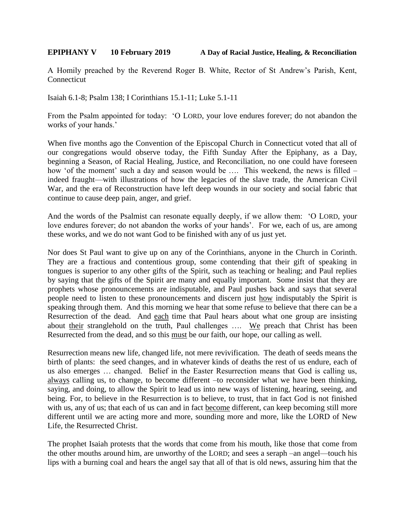## **EPIPHANY V 10 February 2019 A Day of Racial Justice, Healing, & Reconciliation**

A Homily preached by the Reverend Roger B. White, Rector of St Andrew's Parish, Kent, Connecticut

Isaiah 6.1-8; Psalm 138; I Corinthians 15.1-11; Luke 5.1-11

From the Psalm appointed for today: 'O LORD, your love endures forever; do not abandon the works of your hands.'

When five months ago the Convention of the Episcopal Church in Connecticut voted that all of our congregations would observe today, the Fifth Sunday After the Epiphany, as a Day, beginning a Season, of Racial Healing, Justice, and Reconciliation, no one could have foreseen how 'of the moment' such a day and season would be .... This weekend, the news is filled – indeed fraught—with illustrations of how the legacies of the slave trade, the American Civil War, and the era of Reconstruction have left deep wounds in our society and social fabric that continue to cause deep pain, anger, and grief.

And the words of the Psalmist can resonate equally deeply, if we allow them: 'O LORD, your love endures forever; do not abandon the works of your hands'. For we, each of us, are among these works, and we do not want God to be finished with any of us just yet.

Nor does St Paul want to give up on any of the Corinthians, anyone in the Church in Corinth. They are a fractious and contentious group, some contending that their gift of speaking in tongues is superior to any other gifts of the Spirit, such as teaching or healing; and Paul replies by saying that the gifts of the Spirit are many and equally important. Some insist that they are prophets whose pronouncements are indisputable, and Paul pushes back and says that several people need to listen to these pronouncements and discern just how indisputably the Spirit is speaking through them. And this morning we hear that some refuse to believe that there can be a Resurrection of the dead. And each time that Paul hears about what one group are insisting about their stranglehold on the truth, Paul challenges …. We preach that Christ has been Resurrected from the dead, and so this must be our faith, our hope, our calling as well.

Resurrection means new life, changed life, not mere revivification. The death of seeds means the birth of plants: the seed changes, and in whatever kinds of deaths the rest of us endure, each of us also emerges … changed. Belief in the Easter Resurrection means that God is calling us, always calling us, to change, to become different –to reconsider what we have been thinking, saying, and doing, to allow the Spirit to lead us into new ways of listening, hearing, seeing, and being. For, to believe in the Resurrection is to believe, to trust, that in fact God is not finished with us, any of us; that each of us can and in fact become different, can keep becoming still more different until we are acting more and more, sounding more and more, like the LORD of New Life, the Resurrected Christ.

The prophet Isaiah protests that the words that come from his mouth, like those that come from the other mouths around him, are unworthy of the LORD; and sees a seraph –an angel—touch his lips with a burning coal and hears the angel say that all of that is old news, assuring him that the